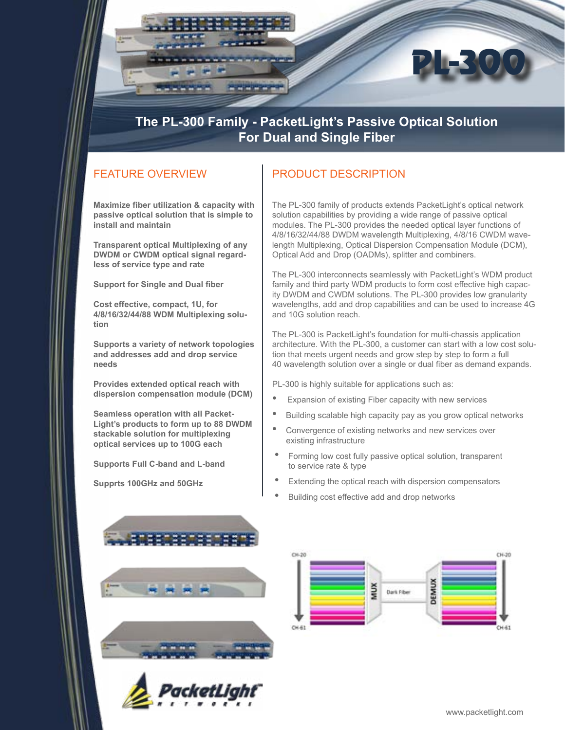

## **The PL-300 Family - PacketLight's Passive Optical Solution For Dual and Single Fiber**

## FEATURE OVERVIEW

**Maximize fiber utilization & capacity with passive optical solution that is simple to install and maintain**

**Transparent optical Multiplexing of any DWDM or CWDM optical signal regardless of service type and rate** 

**Support for Single and Dual fiber**

**Cost effective, compact, 1U, for 4/8/16/32/44/88 WDM Multiplexing solution**

**Supports a variety of network topologies and addresses add and drop service needs**

**Provides extended optical reach with dispersion compensation module (DCM)**

**Seamless operation with all Packet-Light's products to form up to 88 DWDM stackable solution for multiplexing optical services up to 100G each**

**Supports Full C-band and L-band**

**Supprts 100GHz and 50GHz**

## PRODUCT DESCRIPTION

The PL-300 family of products extends PacketLight's optical network solution capabilities by providing a wide range of passive optical modules. The PL-300 provides the needed optical layer functions of 4/8/16/32/44/88 DWDM wavelength Multiplexing, 4/8/16 CWDM wavelength Multiplexing, Optical Dispersion Compensation Module (DCM), Optical Add and Drop (OADMs), splitter and combiners.

The PL-300 interconnects seamlessly with PacketLight's WDM product family and third party WDM products to form cost effective high capacity DWDM and CWDM solutions. The PL-300 provides low granularity wavelengths, add and drop capabilities and can be used to increase 4G and 10G solution reach.

The PL-300 is PacketLight's foundation for multi-chassis application architecture. With the PL-300, a customer can start with a low cost solution that meets urgent needs and grow step by step to form a full 40 wavelength solution over a single or dual fiber as demand expands.

PL-300 is highly suitable for applications such as:

- Expansion of existing Fiber capacity with new services
- Building scalable high capacity pay as you grow optical networks
- Convergence of existing networks and new services over existing infrastructure
- Forming low cost fully passive optical solution, transparent to service rate & type
- Extending the optical reach with dispersion compensators
- Building cost effective add and drop networks